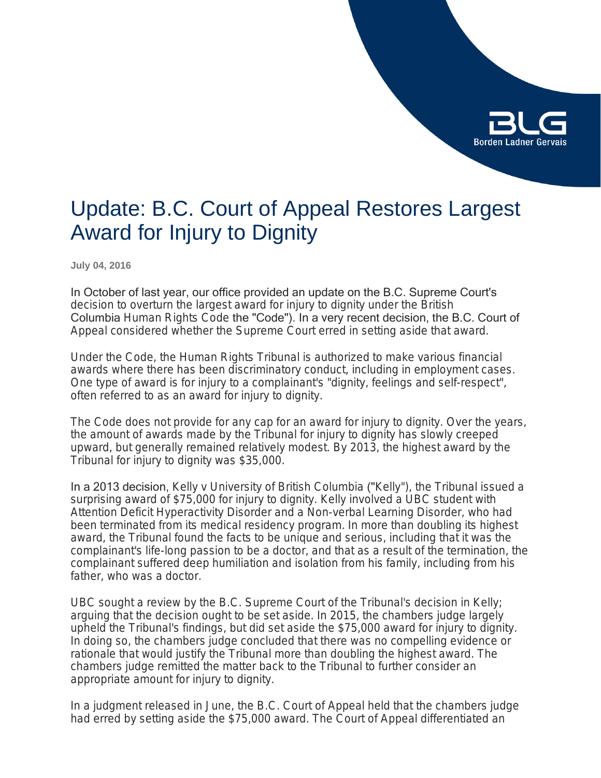

# Update: B.C. Court of Appeal Restores Largest Award for Injury to Dignity

**July 04, 2016**

In October of last year, our office provided an update on the B.C. Supreme Court's decision to overturn the largest award for injury to dignity under the British Columbia *Human Rights Code* the "Code"). In a very recent decision, the B.C. Court of Appeal considered whether the Supreme Court erred in setting aside that award.

Under the Code, the Human Rights Tribunal is authorized to make various financial awards where there has been discriminatory conduct, including in employment cases. One type of award is for injury to a complainant's "dignity, feelings and self-respect", often referred to as an award for injury to dignity.

The Code does not provide for any cap for an award for injury to dignity. Over the years, the amount of awards made by the Tribunal for injury to dignity has slowly creeped upward, but generally remained relatively modest. By 2013, the highest award by the Tribunal for injury to dignity was \$35,000.

In a 2013 decision, *Kelly v University of British Columbia* ("*Kelly*"), the Tribunal issued a surprising award of \$75,000 for injury to dignity. Kelly involved a UBC student with Attention Deficit Hyperactivity Disorder and a Non-verbal Learning Disorder, who had been terminated from its medical residency program. In more than doubling its highest award, the Tribunal found the facts to be unique and serious, including that it was the complainant's life-long passion to be a doctor, and that as a result of the termination, the complainant suffered deep humiliation and isolation from his family, including from his father, who was a doctor.

UBC sought a review by the B.C. Supreme Court of the Tribunal's decision in Kelly; arguing that the decision ought to be set aside. In 2015, the chambers judge largely upheld the Tribunal's findings, but did set aside the \$75,000 award for injury to dignity. In doing so, the chambers judge concluded that there was no compelling evidence or rationale that would justify the Tribunal more than doubling the highest award. The chambers judge remitted the matter back to the Tribunal to further consider an appropriate amount for injury to dignity.

In a judgment released in June, the B.C. Court of Appeal held that the chambers judge had erred by setting aside the \$75,000 award. The Court of Appeal differentiated an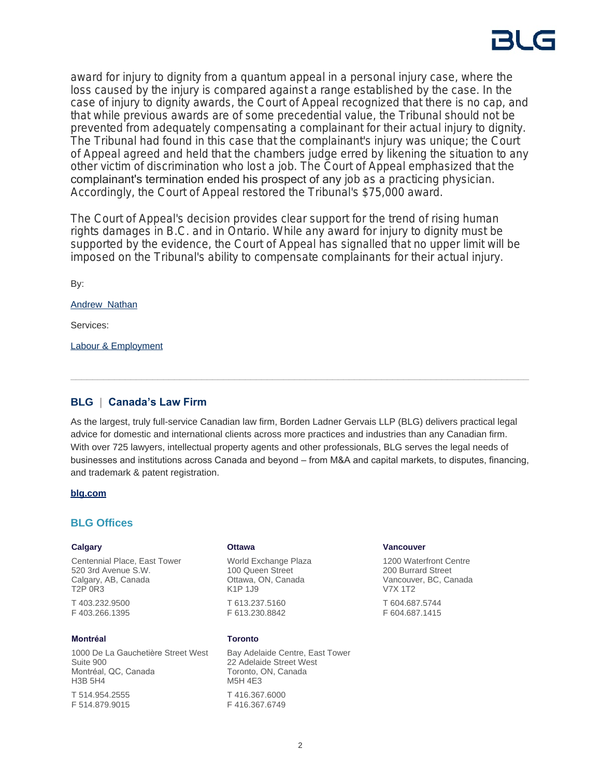award for injury to dignity from a quantum appeal in a personal injury case, where the loss caused by the injury is compared against a range established by the case. In the case of injury to dignity awards, the Court of Appeal recognized that there is no cap, and that while previous awards are of some precedential value, the Tribunal should not be prevented from adequately compensating a complainant for their actual injury to dignity. The Tribunal had found in this case that the complainant's injury was unique; the Court of Appeal agreed and held that the chambers judge erred by likening the situation to any other victim of discrimination who lost a job. The Court of Appeal emphasized that the complainant's termination ended his prospect of any job as a practicing physician. Accordingly, the Court of Appeal restored the Tribunal's \$75,000 award.

The Court of Appeal's decision provides clear support for the trend of rising human rights damages in B.C. and in Ontario. While any award for injury to dignity must be supported by the evidence, the Court of Appeal has signalled that no upper limit will be imposed on the Tribunal's ability to compensate complainants for their actual injury.

By:

[Andrew Nathan](https://www.blg.com/en/people/_deactive/n/nathan-andrew)

Services:

[Labour & Employment](https://www.blg.com/en/services/practice-areas/labour-,-a-,-employment)

# **BLG | Canada's Law Firm**

As the largest, truly full-service Canadian law firm, Borden Ladner Gervais LLP (BLG) delivers practical legal advice for domestic and international clients across more practices and industries than any Canadian firm. With over 725 lawyers, intellectual property agents and other professionals, BLG serves the legal needs of businesses and institutions across Canada and beyond – from M&A and capital markets, to disputes, financing, and trademark & patent registration.

### **[blg.com](http://www.blg.com)**

## **BLG Offices**

### **Calgary**

Centennial Place, East Tower 520 3rd Avenue S.W. Calgary, AB, Canada T2P 0R3 T 403.232.9500 F 403.266.1395

### **Montréal**

1000 De La Gauchetière Street West Suite 900 Montréal, QC, Canada H3B 5H4 T 514.954.2555

F 514.879.9015

#### **Ottawa**

World Exchange Plaza 100 Queen Street Ottawa, ON, Canada K1P 1J9 T 613.237.5160 F 613.230.8842

### **Toronto**

Bay Adelaide Centre, East Tower 22 Adelaide Street West Toronto, ON, Canada M5H 4E3 T 416.367.6000 F 416.367.6749

#### **Vancouver**

1200 Waterfront Centre 200 Burrard Street Vancouver, BC, Canada V7X 1T2 T 604.687.5744 F 604.687.1415